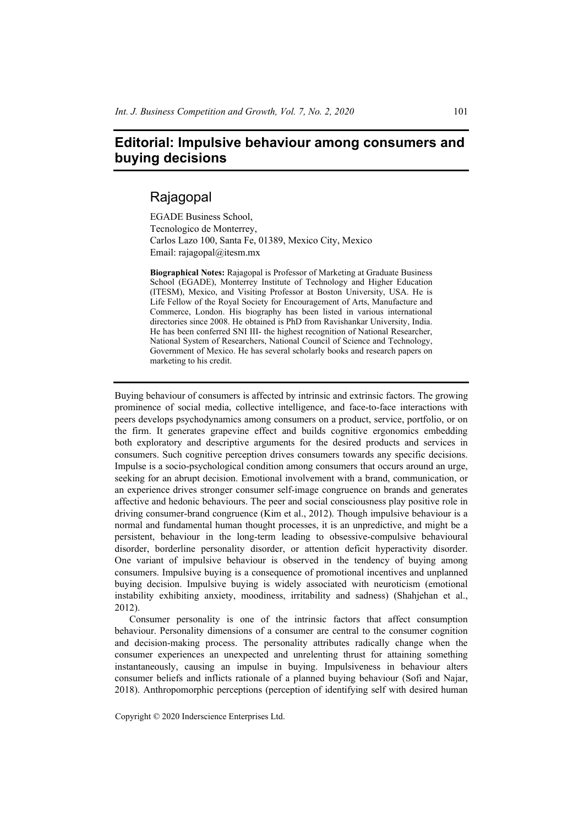## **Editorial: Impulsive behaviour among consumers and buying decisions**

## Rajagopal

EGADE Business School, Tecnologico de Monterrey, Carlos Lazo 100, Santa Fe, 01389, Mexico City, Mexico Email: rajagopal@itesm.mx

**Biographical Notes:** Rajagopal is Professor of Marketing at Graduate Business School (EGADE), Monterrey Institute of Technology and Higher Education (ITESM), Mexico, and Visiting Professor at Boston University, USA. He is Life Fellow of the Royal Society for Encouragement of Arts, Manufacture and Commerce, London. His biography has been listed in various international directories since 2008. He obtained is PhD from Ravishankar University, India. He has been conferred SNI III- the highest recognition of National Researcher, National System of Researchers, National Council of Science and Technology, Government of Mexico. He has several scholarly books and research papers on marketing to his credit.

Buying behaviour of consumers is affected by intrinsic and extrinsic factors. The growing prominence of social media, collective intelligence, and face-to-face interactions with peers develops psychodynamics among consumers on a product, service, portfolio, or on the firm. It generates grapevine effect and builds cognitive ergonomics embedding both exploratory and descriptive arguments for the desired products and services in consumers. Such cognitive perception drives consumers towards any specific decisions. Impulse is a socio-psychological condition among consumers that occurs around an urge, seeking for an abrupt decision. Emotional involvement with a brand, communication, or an experience drives stronger consumer self-image congruence on brands and generates affective and hedonic behaviours. The peer and social consciousness play positive role in driving consumer-brand congruence (Kim et al., 2012). Though impulsive behaviour is a normal and fundamental human thought processes, it is an unpredictive, and might be a persistent, behaviour in the long-term leading to obsessive-compulsive behavioural disorder, borderline personality disorder, or attention deficit hyperactivity disorder. One variant of impulsive behaviour is observed in the tendency of buying among consumers. Impulsive buying is a consequence of promotional incentives and unplanned buying decision. Impulsive buying is widely associated with neuroticism (emotional instability exhibiting anxiety, moodiness, irritability and sadness) (Shahjehan et al., 2012).

Consumer personality is one of the intrinsic factors that affect consumption behaviour. Personality dimensions of a consumer are central to the consumer cognition and decision-making process. The personality attributes radically change when the consumer experiences an unexpected and unrelenting thrust for attaining something instantaneously, causing an impulse in buying. Impulsiveness in behaviour alters consumer beliefs and inflicts rationale of a planned buying behaviour (Sofi and Najar, 2018). Anthropomorphic perceptions (perception of identifying self with desired human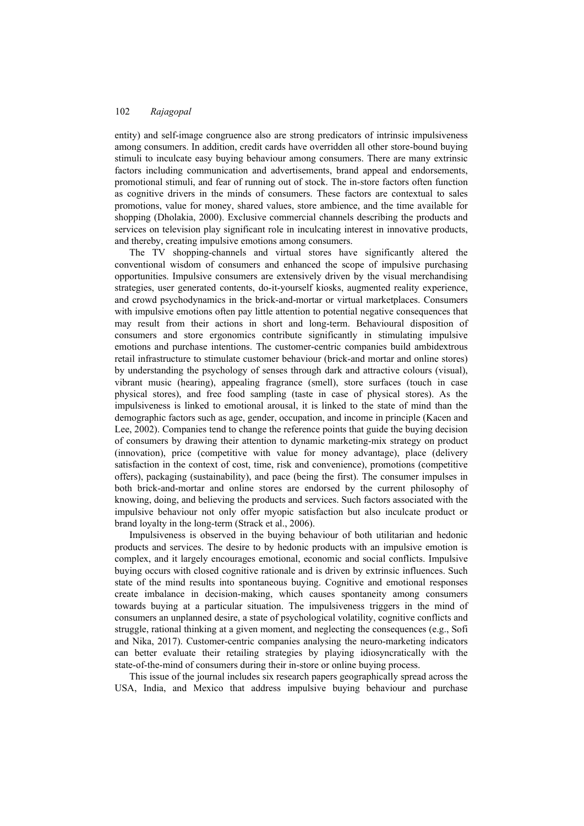entity) and self-image congruence also are strong predicators of intrinsic impulsiveness among consumers. In addition, credit cards have overridden all other store-bound buying stimuli to inculcate easy buying behaviour among consumers. There are many extrinsic factors including communication and advertisements, brand appeal and endorsements, promotional stimuli, and fear of running out of stock. The in-store factors often function as cognitive drivers in the minds of consumers. These factors are contextual to sales promotions, value for money, shared values, store ambience, and the time available for shopping (Dholakia, 2000). Exclusive commercial channels describing the products and services on television play significant role in inculcating interest in innovative products, and thereby, creating impulsive emotions among consumers.

The TV shopping-channels and virtual stores have significantly altered the conventional wisdom of consumers and enhanced the scope of impulsive purchasing opportunities. Impulsive consumers are extensively driven by the visual merchandising strategies, user generated contents, do-it-yourself kiosks, augmented reality experience, and crowd psychodynamics in the brick-and-mortar or virtual marketplaces. Consumers with impulsive emotions often pay little attention to potential negative consequences that may result from their actions in short and long-term. Behavioural disposition of consumers and store ergonomics contribute significantly in stimulating impulsive emotions and purchase intentions. The customer-centric companies build ambidextrous retail infrastructure to stimulate customer behaviour (brick-and mortar and online stores) by understanding the psychology of senses through dark and attractive colours (visual), vibrant music (hearing), appealing fragrance (smell), store surfaces (touch in case physical stores), and free food sampling (taste in case of physical stores). As the impulsiveness is linked to emotional arousal, it is linked to the state of mind than the demographic factors such as age, gender, occupation, and income in principle (Kacen and Lee, 2002). Companies tend to change the reference points that guide the buying decision of consumers by drawing their attention to dynamic marketing-mix strategy on product (innovation), price (competitive with value for money advantage), place (delivery satisfaction in the context of cost, time, risk and convenience), promotions (competitive offers), packaging (sustainability), and pace (being the first). The consumer impulses in both brick-and-mortar and online stores are endorsed by the current philosophy of knowing, doing, and believing the products and services. Such factors associated with the impulsive behaviour not only offer myopic satisfaction but also inculcate product or brand loyalty in the long-term (Strack et al., 2006).

Impulsiveness is observed in the buying behaviour of both utilitarian and hedonic products and services. The desire to by hedonic products with an impulsive emotion is complex, and it largely encourages emotional, economic and social conflicts. Impulsive buying occurs with closed cognitive rationale and is driven by extrinsic influences. Such state of the mind results into spontaneous buying. Cognitive and emotional responses create imbalance in decision-making, which causes spontaneity among consumers towards buying at a particular situation. The impulsiveness triggers in the mind of consumers an unplanned desire, a state of psychological volatility, cognitive conflicts and struggle, rational thinking at a given moment, and neglecting the consequences (e.g., Sofi and Nika, 2017). Customer-centric companies analysing the neuro-marketing indicators can better evaluate their retailing strategies by playing idiosyncratically with the state-of-the-mind of consumers during their in-store or online buying process.

This issue of the journal includes six research papers geographically spread across the USA, India, and Mexico that address impulsive buying behaviour and purchase